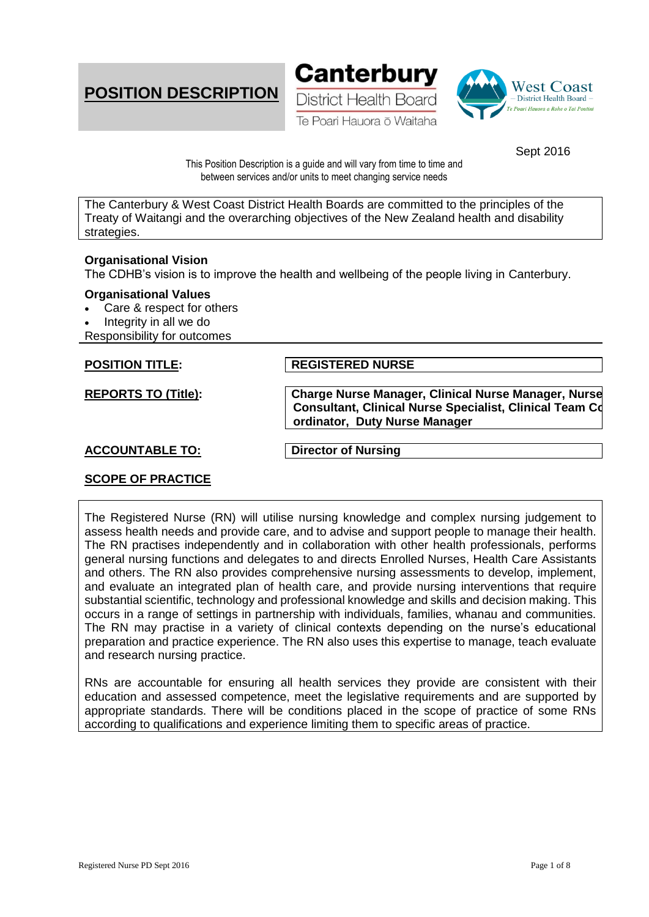





Sept 2016

This Position Description is a guide and will vary from time to time and between services and/or units to meet changing service needs

The Canterbury & West Coast District Health Boards are committed to the principles of the Treaty of Waitangi and the overarching objectives of the New Zealand health and disability strategies.

# **Organisational Vision**

The CDHB's vision is to improve the health and wellbeing of the people living in Canterbury.

#### **Organisational Values**

- Care & respect for others
- Integrity in all we do
- Responsibility for outcomes

**POSITION TITLE: REGISTERED NURSE** 

**REPORTS TO (Title): Charge Nurse Manager, Clinical Nurse Manager, Nurse Consultant, Clinical Nurse Specialist, Clinical Team Coordinator, Duty Nurse Manager**

# **ACCOUNTABLE TO: Director of Nursing**

# **SCOPE OF PRACTICE**

The Registered Nurse (RN) will utilise nursing knowledge and complex nursing judgement to assess health needs and provide care, and to advise and support people to manage their health. The RN practises independently and in collaboration with other health professionals, performs general nursing functions and delegates to and directs Enrolled Nurses, Health Care Assistants and others. The RN also provides comprehensive nursing assessments to develop, implement, and evaluate an integrated plan of health care, and provide nursing interventions that require substantial scientific, technology and professional knowledge and skills and decision making. This occurs in a range of settings in partnership with individuals, families, whanau and communities. The RN may practise in a variety of clinical contexts depending on the nurse's educational preparation and practice experience. The RN also uses this expertise to manage, teach evaluate and research nursing practice.

RNs are accountable for ensuring all health services they provide are consistent with their education and assessed competence, meet the legislative requirements and are supported by appropriate standards. There will be conditions placed in the scope of practice of some RNs according to qualifications and experience limiting them to specific areas of practice.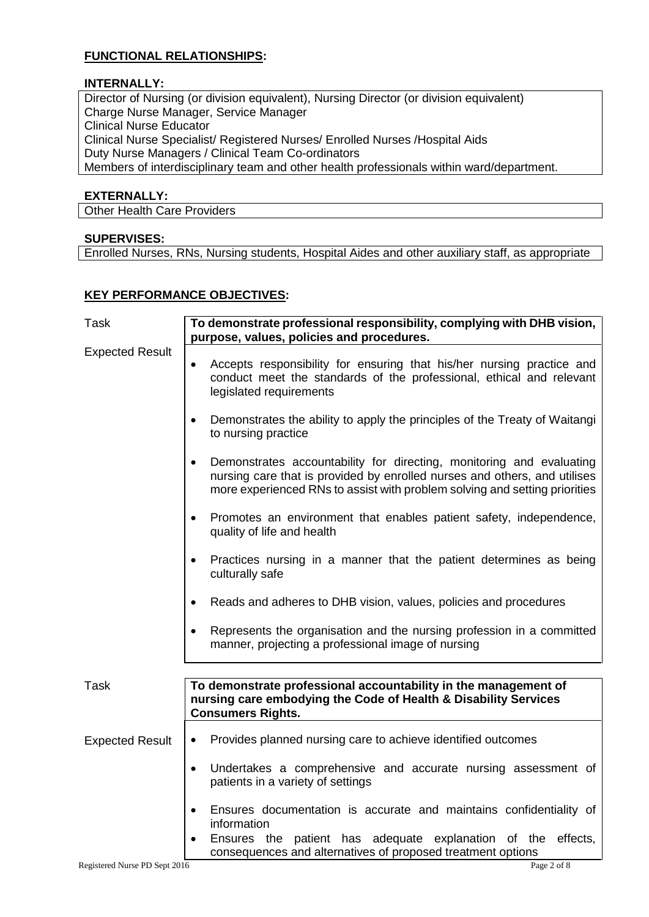# **FUNCTIONAL RELATIONSHIPS:**

### **INTERNALLY:**

Director of Nursing (or division equivalent), Nursing Director (or division equivalent) Charge Nurse Manager, Service Manager Clinical Nurse Educator Clinical Nurse Specialist/ Registered Nurses/ Enrolled Nurses /Hospital Aids Duty Nurse Managers / Clinical Team Co-ordinators Members of interdisciplinary team and other health professionals within ward/department.

#### **EXTERNALLY:**

Other Health Care Providers

# **SUPERVISES:**

Enrolled Nurses, RNs, Nursing students, Hospital Aides and other auxiliary staff, as appropriate

### **KEY PERFORMANCE OBJECTIVES:**

| <b>Task</b>                   | To demonstrate professional responsibility, complying with DHB vision,<br>purpose, values, policies and procedures.                                                                                                                          |
|-------------------------------|----------------------------------------------------------------------------------------------------------------------------------------------------------------------------------------------------------------------------------------------|
| <b>Expected Result</b>        | Accepts responsibility for ensuring that his/her nursing practice and<br>conduct meet the standards of the professional, ethical and relevant<br>legislated requirements                                                                     |
|                               | Demonstrates the ability to apply the principles of the Treaty of Waitangi<br>$\bullet$<br>to nursing practice                                                                                                                               |
|                               | Demonstrates accountability for directing, monitoring and evaluating<br>$\bullet$<br>nursing care that is provided by enrolled nurses and others, and utilises<br>more experienced RNs to assist with problem solving and setting priorities |
|                               | Promotes an environment that enables patient safety, independence,<br>$\bullet$<br>quality of life and health                                                                                                                                |
|                               | Practices nursing in a manner that the patient determines as being<br>$\bullet$<br>culturally safe                                                                                                                                           |
|                               | Reads and adheres to DHB vision, values, policies and procedures<br>$\bullet$                                                                                                                                                                |
|                               | Represents the organisation and the nursing profession in a committed<br>$\bullet$<br>manner, projecting a professional image of nursing                                                                                                     |
|                               |                                                                                                                                                                                                                                              |
| Task                          | To demonstrate professional accountability in the management of<br>nursing care embodying the Code of Health & Disability Services<br><b>Consumers Rights.</b>                                                                               |
| <b>Expected Result</b>        | Provides planned nursing care to achieve identified outcomes<br>$\bullet$                                                                                                                                                                    |
|                               | Undertakes a comprehensive and accurate nursing assessment of<br>$\bullet$<br>patients in a variety of settings                                                                                                                              |
|                               | Ensures documentation is accurate and maintains confidentiality of<br>$\bullet$<br>information                                                                                                                                               |
|                               | Ensures the patient has adequate explanation of the effects,<br>consequences and alternatives of proposed treatment options                                                                                                                  |
| Registered Nurse PD Sept 2016 | Page 2 of 8                                                                                                                                                                                                                                  |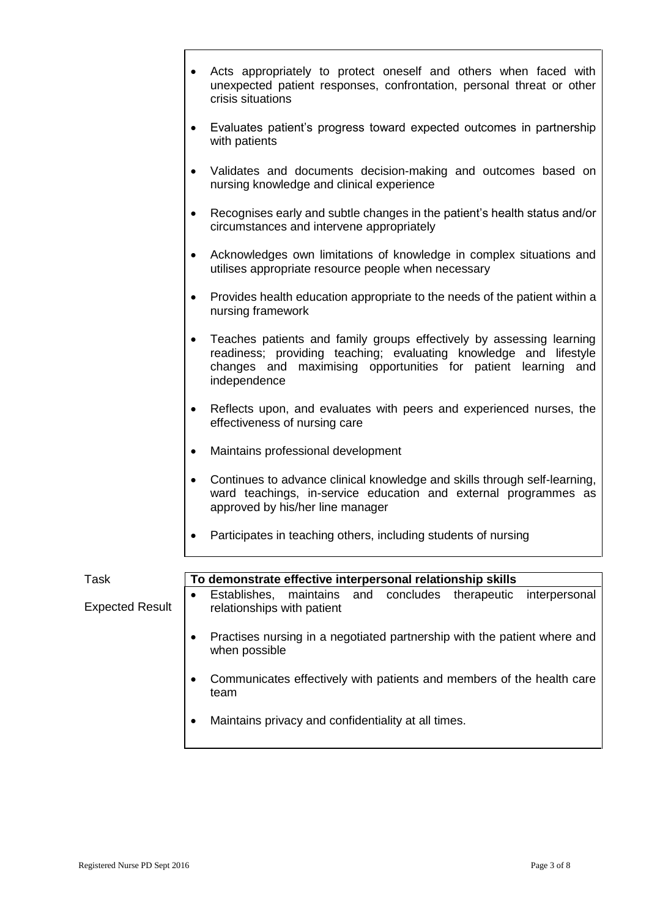- Acts appropriately to protect oneself and others when faced with unexpected patient responses, confrontation, personal threat or other crisis situations
- Evaluates patient's progress toward expected outcomes in partnership with patients
- Validates and documents decision-making and outcomes based on nursing knowledge and clinical experience
- Recognises early and subtle changes in the patient's health status and/or circumstances and intervene appropriately
- Acknowledges own limitations of knowledge in complex situations and utilises appropriate resource people when necessary
- Provides health education appropriate to the needs of the patient within a nursing framework
- Teaches patients and family groups effectively by assessing learning readiness; providing teaching; evaluating knowledge and lifestyle changes and maximising opportunities for patient learning and independence
- Reflects upon, and evaluates with peers and experienced nurses, the effectiveness of nursing care
- Maintains professional development
- Continues to advance clinical knowledge and skills through self-learning, ward teachings, in-service education and external programmes as approved by his/her line manager
- Participates in teaching others, including students of nursing

| Task                   | To demonstrate effective interpersonal relationship skills                                                   |
|------------------------|--------------------------------------------------------------------------------------------------------------|
| <b>Expected Result</b> | Establishes, maintains and concludes therapeutic<br>interpersonal<br>$\bullet$<br>relationships with patient |
|                        | Practises nursing in a negotiated partnership with the patient where and<br>when possible                    |
|                        | Communicates effectively with patients and members of the health care<br>team                                |
|                        | Maintains privacy and confidentiality at all times.                                                          |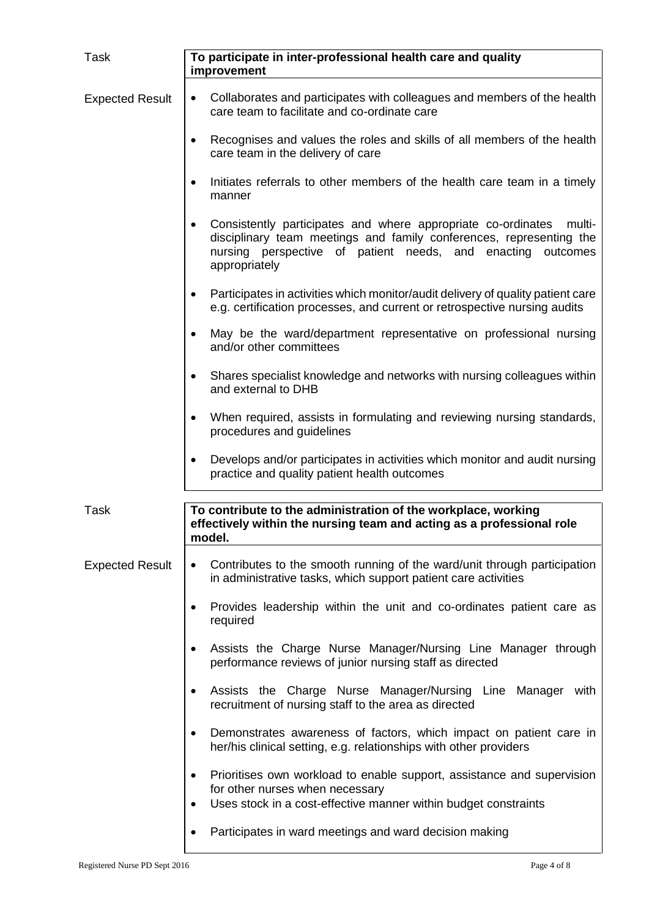| Task                   | To participate in inter-professional health care and quality<br>improvement                                                                                                                                                                   |
|------------------------|-----------------------------------------------------------------------------------------------------------------------------------------------------------------------------------------------------------------------------------------------|
| <b>Expected Result</b> | Collaborates and participates with colleagues and members of the health<br>$\bullet$<br>care team to facilitate and co-ordinate care                                                                                                          |
|                        | Recognises and values the roles and skills of all members of the health<br>care team in the delivery of care                                                                                                                                  |
|                        | Initiates referrals to other members of the health care team in a timely<br>$\bullet$<br>manner                                                                                                                                               |
|                        | Consistently participates and where appropriate co-ordinates<br>multi-<br>$\bullet$<br>disciplinary team meetings and family conferences, representing the<br>nursing perspective of patient needs, and enacting<br>outcomes<br>appropriately |
|                        | Participates in activities which monitor/audit delivery of quality patient care<br>$\bullet$<br>e.g. certification processes, and current or retrospective nursing audits                                                                     |
|                        | May be the ward/department representative on professional nursing<br>and/or other committees                                                                                                                                                  |
|                        | Shares specialist knowledge and networks with nursing colleagues within<br>٠<br>and external to DHB                                                                                                                                           |
|                        | When required, assists in formulating and reviewing nursing standards,<br>$\bullet$<br>procedures and guidelines                                                                                                                              |
|                        | Develops and/or participates in activities which monitor and audit nursing<br>$\bullet$<br>practice and quality patient health outcomes                                                                                                       |
| <b>Task</b>            | To contribute to the administration of the workplace, working<br>effectively within the nursing team and acting as a professional role<br>model.                                                                                              |
| <b>Expected Result</b> | Contributes to the smooth running of the ward/unit through participation<br>$\bullet$<br>in administrative tasks, which support patient care activities                                                                                       |
|                        | Provides leadership within the unit and co-ordinates patient care as<br>required                                                                                                                                                              |
|                        | Assists the Charge Nurse Manager/Nursing Line Manager through<br>٠<br>performance reviews of junior nursing staff as directed                                                                                                                 |
|                        | Assists the Charge Nurse Manager/Nursing Line Manager with<br>$\bullet$<br>recruitment of nursing staff to the area as directed                                                                                                               |
|                        | Demonstrates awareness of factors, which impact on patient care in<br>$\bullet$<br>her/his clinical setting, e.g. relationships with other providers                                                                                          |
|                        | Prioritises own workload to enable support, assistance and supervision<br>$\bullet$<br>for other nurses when necessary<br>Uses stock in a cost-effective manner within budget constraints<br>$\bullet$                                        |
|                        | Participates in ward meetings and ward decision making                                                                                                                                                                                        |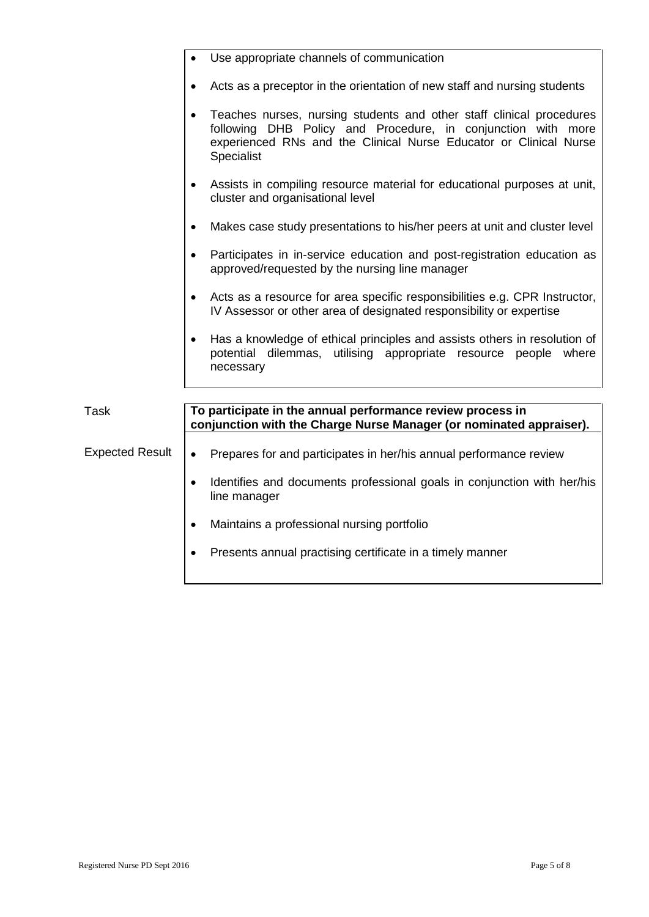|                        | Use appropriate channels of communication                                                                                                                                                                                      |
|------------------------|--------------------------------------------------------------------------------------------------------------------------------------------------------------------------------------------------------------------------------|
|                        | Acts as a preceptor in the orientation of new staff and nursing students                                                                                                                                                       |
|                        | Teaches nurses, nursing students and other staff clinical procedures<br>following DHB Policy and Procedure, in conjunction with more<br>experienced RNs and the Clinical Nurse Educator or Clinical Nurse<br><b>Specialist</b> |
|                        | Assists in compiling resource material for educational purposes at unit,<br>$\bullet$<br>cluster and organisational level                                                                                                      |
|                        | Makes case study presentations to his/her peers at unit and cluster level<br>$\bullet$                                                                                                                                         |
|                        | Participates in in-service education and post-registration education as<br>$\bullet$<br>approved/requested by the nursing line manager                                                                                         |
|                        | Acts as a resource for area specific responsibilities e.g. CPR Instructor,<br>$\bullet$<br>IV Assessor or other area of designated responsibility or expertise                                                                 |
|                        | Has a knowledge of ethical principles and assists others in resolution of<br>$\bullet$<br>potential dilemmas, utilising appropriate resource people where<br>necessary                                                         |
|                        |                                                                                                                                                                                                                                |
| <b>Task</b>            | To participate in the annual performance review process in<br>conjunction with the Charge Nurse Manager (or nominated appraiser).                                                                                              |
| <b>Expected Result</b> | Prepares for and participates in her/his annual performance review<br>$\bullet$                                                                                                                                                |
|                        | Identifies and documents professional goals in conjunction with her/his<br>$\bullet$<br>line manager                                                                                                                           |
|                        | Maintains a professional nursing portfolio<br>$\bullet$                                                                                                                                                                        |
|                        | Presents annual practising certificate in a timely manner<br>$\bullet$                                                                                                                                                         |
|                        |                                                                                                                                                                                                                                |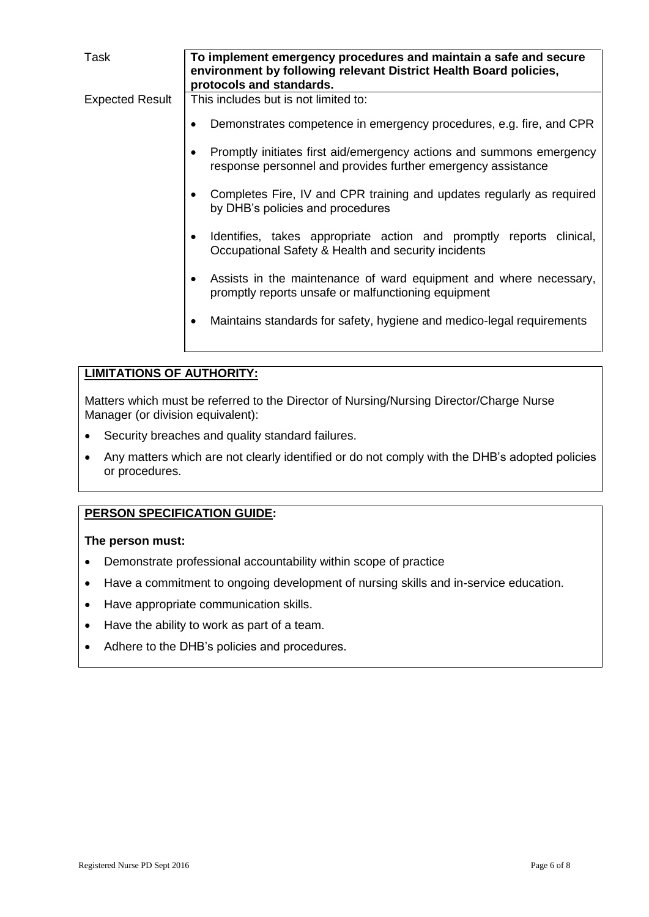| Task                   | To implement emergency procedures and maintain a safe and secure<br>environment by following relevant District Health Board policies,<br>protocols and standards. |
|------------------------|-------------------------------------------------------------------------------------------------------------------------------------------------------------------|
| <b>Expected Result</b> | This includes but is not limited to:                                                                                                                              |
|                        | Demonstrates competence in emergency procedures, e.g. fire, and CPR                                                                                               |
|                        | Promptly initiates first aid/emergency actions and summons emergency<br>response personnel and provides further emergency assistance                              |
|                        | Completes Fire, IV and CPR training and updates regularly as required<br>by DHB's policies and procedures                                                         |
|                        | Identifies, takes appropriate action and promptly reports clinical,<br>Occupational Safety & Health and security incidents                                        |
|                        | Assists in the maintenance of ward equipment and where necessary,<br>$\bullet$<br>promptly reports unsafe or malfunctioning equipment                             |
|                        | Maintains standards for safety, hygiene and medico-legal requirements                                                                                             |

# **LIMITATIONS OF AUTHORITY:**

Matters which must be referred to the Director of Nursing/Nursing Director/Charge Nurse Manager (or division equivalent):

- Security breaches and quality standard failures.
- Any matters which are not clearly identified or do not comply with the DHB's adopted policies or procedures.

# **PERSON SPECIFICATION GUIDE:**

**The person must:**

- Demonstrate professional accountability within scope of practice
- Have a commitment to ongoing development of nursing skills and in-service education.
- Have appropriate communication skills.
- Have the ability to work as part of a team.
- Adhere to the DHB's policies and procedures.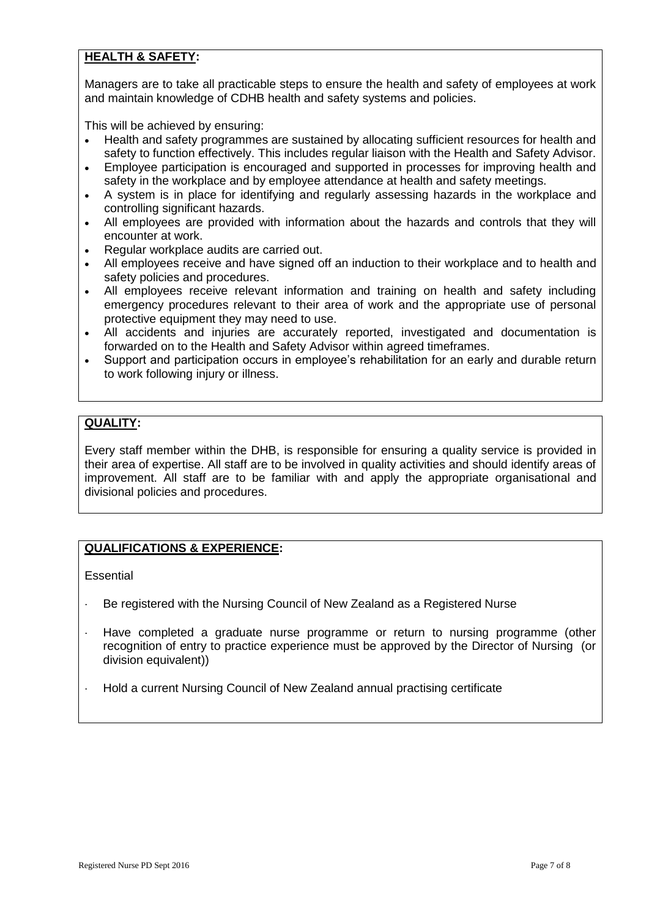# **HEALTH & SAFETY:**

Managers are to take all practicable steps to ensure the health and safety of employees at work and maintain knowledge of CDHB health and safety systems and policies.

This will be achieved by ensuring:

- Health and safety programmes are sustained by allocating sufficient resources for health and safety to function effectively. This includes regular liaison with the Health and Safety Advisor.
- Employee participation is encouraged and supported in processes for improving health and safety in the workplace and by employee attendance at health and safety meetings.
- A system is in place for identifying and regularly assessing hazards in the workplace and controlling significant hazards.
- All employees are provided with information about the hazards and controls that they will encounter at work.
- Regular workplace audits are carried out.
- All employees receive and have signed off an induction to their workplace and to health and safety policies and procedures.
- All employees receive relevant information and training on health and safety including emergency procedures relevant to their area of work and the appropriate use of personal protective equipment they may need to use.
- All accidents and injuries are accurately reported, investigated and documentation is forwarded on to the Health and Safety Advisor within agreed timeframes.
- Support and participation occurs in employee's rehabilitation for an early and durable return to work following injury or illness.

# **QUALITY:**

Every staff member within the DHB, is responsible for ensuring a quality service is provided in their area of expertise. All staff are to be involved in quality activities and should identify areas of improvement. All staff are to be familiar with and apply the appropriate organisational and divisional policies and procedures.

### **QUALIFICATIONS & EXPERIENCE:**

**Essential** 

- Be registered with the Nursing Council of New Zealand as a Registered Nurse
- Have completed a graduate nurse programme or return to nursing programme (other recognition of entry to practice experience must be approved by the Director of Nursing (or division equivalent))
- Hold a current Nursing Council of New Zealand annual practising certificate